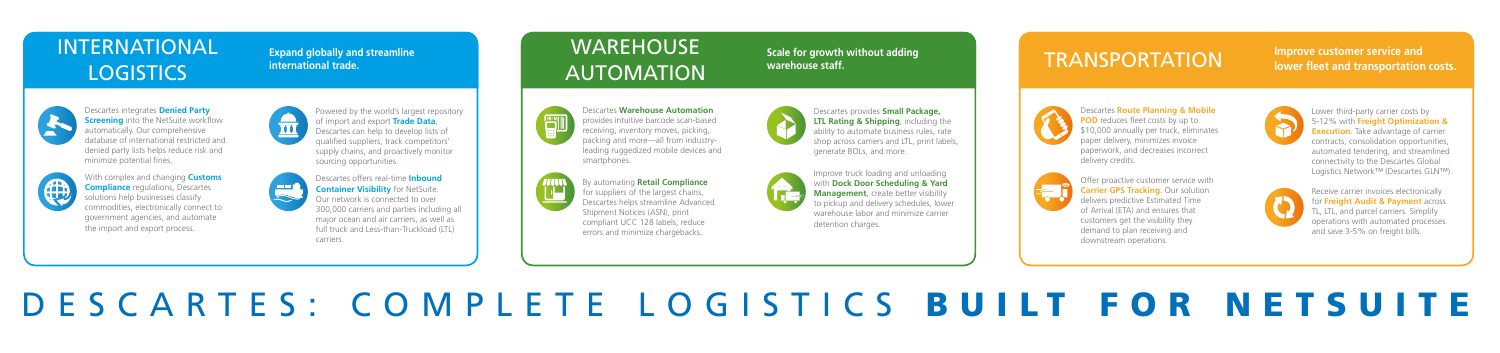# DESCARTES: COMPLETE LOGISTICS BUILT FOR NETSUITE

Descartes integrates **Denied Party Screening** into the NetSuite workflow automatically. Our comprehensive database of international restricted and denied party lists helps reduce risk and minimize potential fines.



With complex and changing **Customs Compliance** regulations, Descartes solutions help businesses classify commodities, electronically connect to government agencies, and automate the import and export process.



# INTERNATIONAL **LOGISTICS**

Powered by the world's largest repository of import and export **Trade Data**, Descartes can help to develop lists of qualified suppliers, track competitors' supply chains, and proactively monitor sourcing opportunities.



Descartes offers real-time **Inbound Container Visibility** for NetSuite. Our network is connected to over 300,000 carriers and parties including all major ocean and air carriers, as well as full truck and Less-than-Truckload (LTL) carriers.

# **WAREHOUSE** AUTOMATION



**Expand globally and streamline international trade.** 



Descartes **Warehouse Automation**  provides intuitive barcode scan-based receiving, inventory moves, picking, packing and more—all from industryleading ruggedized mobile devices and smartphones.



By automating **Retail Compliance** for suppliers of the largest chains, Descartes helps streamline Advanced Shipment Notices (ASN), print compliant UCC 128 labels, reduce errors and minimize chargebacks.

Descartes provides **Small Package, LTL Rating & Shipping**, including the ability to automate business rules, rate shop across carriers and LTL, print labels, generate BOLs, and more.



Improve truck loading and unloading with **Dock Door Scheduling & Yard Management**, create better visibility to pickup and delivery schedules, lower warehouse labor and minimize carrier detention charges.

### **Scale for growth without adding warehouse staff.**



Descartes **Route Planning & Mobile POD** reduces fleet costs by up to \$10,000 annually per truck, eliminates paper delivery, minimizes invoice paperwork, and decreases incorrect delivery credits.



Offer proactive customer service with **Carrier GPS Tracking**. Our solution delivers predictive Estimated Time of Arrival (ETA) and ensures that customers get the visibility they demand to plan receiving and downstream operations.



Lower third-party carrier costs by 5-12% with **Freight Optimization & Execution**. Take advantage of carrier contracts, consolidation opportunities, automated tendering, and streamlined connectivity to the Descartes Global Logistics Network™ (Descartes GLN™).



Receive carrier invoices electronically for **Freight Audit & Payment** across TL, LTL, and parcel carriers. Simplify operations with automated processes and save 3-5% on freight bills.